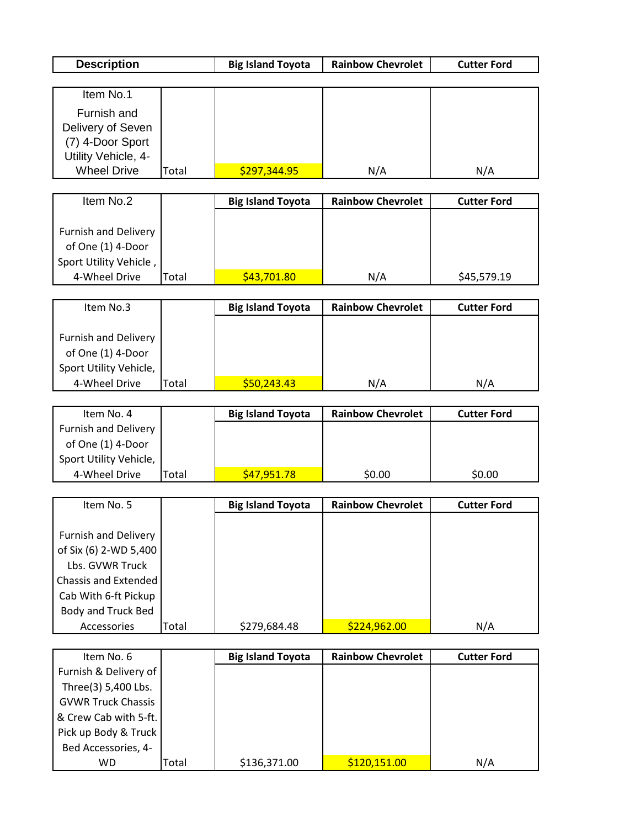| <b>Description</b>          |       | <b>Big Island Toyota</b> | <b>Rainbow Chevrolet</b> | <b>Cutter Ford</b> |  |  |  |
|-----------------------------|-------|--------------------------|--------------------------|--------------------|--|--|--|
|                             |       |                          |                          |                    |  |  |  |
| Item No.1                   |       |                          |                          |                    |  |  |  |
| Furnish and                 |       |                          |                          |                    |  |  |  |
| Delivery of Seven           |       |                          |                          |                    |  |  |  |
| (7) 4-Door Sport            |       |                          |                          |                    |  |  |  |
| Utility Vehicle, 4-         |       |                          |                          |                    |  |  |  |
| <b>Wheel Drive</b>          | Total | \$297,344.95             | N/A                      | N/A                |  |  |  |
|                             |       |                          |                          |                    |  |  |  |
| Item No.2                   |       | <b>Big Island Toyota</b> | <b>Rainbow Chevrolet</b> | <b>Cutter Ford</b> |  |  |  |
|                             |       |                          |                          |                    |  |  |  |
| <b>Furnish and Delivery</b> |       |                          |                          |                    |  |  |  |
| of One (1) 4-Door           |       |                          |                          |                    |  |  |  |
| Sport Utility Vehicle,      |       |                          |                          |                    |  |  |  |
| 4-Wheel Drive               | Total | \$43,701.80              | N/A                      | \$45,579.19        |  |  |  |
|                             |       |                          |                          |                    |  |  |  |
| Item No.3                   |       | <b>Big Island Toyota</b> | <b>Rainbow Chevrolet</b> | <b>Cutter Ford</b> |  |  |  |
|                             |       |                          |                          |                    |  |  |  |
| <b>Furnish and Delivery</b> |       |                          |                          |                    |  |  |  |
| of One (1) 4-Door           |       |                          |                          |                    |  |  |  |
| Sport Utility Vehicle,      |       |                          |                          |                    |  |  |  |
| 4-Wheel Drive               | Total | \$50,243.43              | N/A                      | N/A                |  |  |  |
| Item No. 4                  |       |                          | <b>Rainbow Chevrolet</b> |                    |  |  |  |
|                             |       | <b>Big Island Toyota</b> |                          | <b>Cutter Ford</b> |  |  |  |
| <b>Furnish and Delivery</b> |       |                          |                          |                    |  |  |  |
| of One (1) 4-Door           |       |                          |                          |                    |  |  |  |
| Sport Utility Vehicle,      |       |                          |                          |                    |  |  |  |
| 4-Wheel Drive               | Total | \$47,951.78              | \$0.00                   | \$0.00             |  |  |  |
| Item No. 5                  |       | <b>Big Island Toyota</b> | <b>Rainbow Chevrolet</b> | <b>Cutter Ford</b> |  |  |  |
|                             |       |                          |                          |                    |  |  |  |

| Item No. 5                  |       | <b>Big Island Toyota</b> | <b>Rainbow Chevrolet</b> | <b>Cutter Ford</b> |
|-----------------------------|-------|--------------------------|--------------------------|--------------------|
|                             |       |                          |                          |                    |
| <b>Furnish and Delivery</b> |       |                          |                          |                    |
| of Six (6) 2-WD 5,400       |       |                          |                          |                    |
| Lbs. GVWR Truck             |       |                          |                          |                    |
| <b>Chassis and Extended</b> |       |                          |                          |                    |
| Cab With 6-ft Pickup        |       |                          |                          |                    |
| Body and Truck Bed          |       |                          |                          |                    |
| <b>Accessories</b>          | Total | \$279,684.48             | \$224,962.00             | N/A                |

| Item No. 6                |       | <b>Big Island Toyota</b> | <b>Rainbow Chevrolet</b> | <b>Cutter Ford</b> |
|---------------------------|-------|--------------------------|--------------------------|--------------------|
| Furnish & Delivery of     |       |                          |                          |                    |
| Three(3) 5,400 Lbs.       |       |                          |                          |                    |
| <b>GVWR Truck Chassis</b> |       |                          |                          |                    |
| & Crew Cab with 5-ft.     |       |                          |                          |                    |
| Pick up Body & Truck      |       |                          |                          |                    |
| Bed Accessories, 4-       |       |                          |                          |                    |
| WD                        | Total | \$136,371.00             | \$120,151.00             | N/A                |